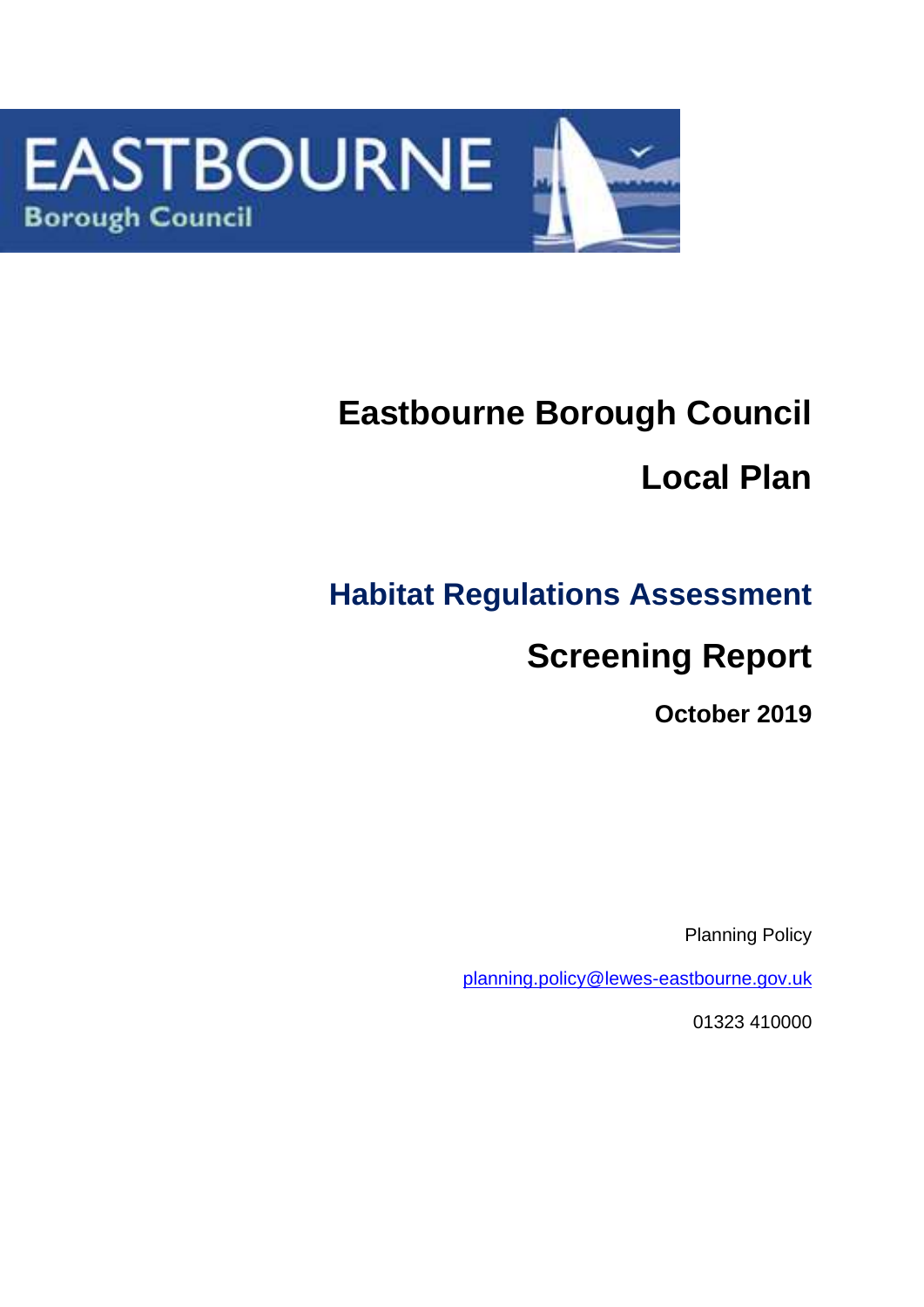

# **Eastbourne Borough Council Local Plan**

## **Habitat Regulations Assessment**

## **Screening Report**

**October 2019**

Planning Policy

[planning.policy@lewes-eastbourne.gov.uk](mailto:planning.policy@lewes-eastbourne.gov.uk)

01323 410000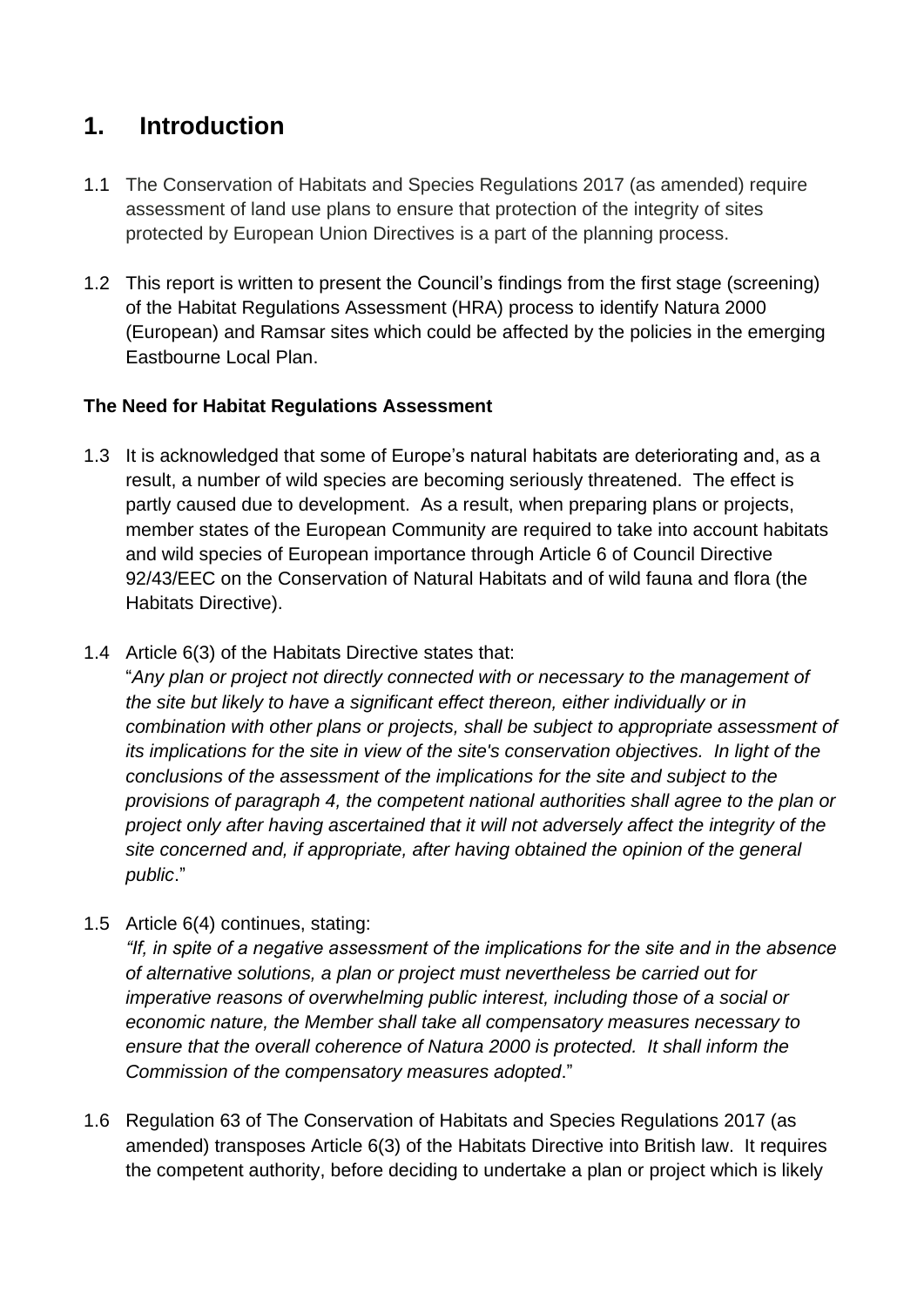## **1. Introduction**

- 1.1 The Conservation of Habitats and Species Regulations 2017 (as amended) require assessment of land use plans to ensure that protection of the integrity of sites protected by European Union Directives is a part of the planning process.
- 1.2 This report is written to present the Council's findings from the first stage (screening) of the Habitat Regulations Assessment (HRA) process to identify Natura 2000 (European) and Ramsar sites which could be affected by the policies in the emerging Eastbourne Local Plan.

## **The Need for Habitat Regulations Assessment**

- 1.3 It is acknowledged that some of Europe's natural habitats are deteriorating and, as a result, a number of wild species are becoming seriously threatened. The effect is partly caused due to development. As a result, when preparing plans or projects, member states of the European Community are required to take into account habitats and wild species of European importance through Article 6 of Council Directive 92/43/EEC on the Conservation of Natural Habitats and of wild fauna and flora (the Habitats Directive).
- 1.4 Article 6(3) of the Habitats Directive states that:

"*Any plan or project not directly connected with or necessary to the management of the site but likely to have a significant effect thereon, either individually or in combination with other plans or projects, shall be subject to appropriate assessment of its implications for the site in view of the site's conservation objectives. In light of the conclusions of the assessment of the implications for the site and subject to the provisions of paragraph 4, the competent national authorities shall agree to the plan or project only after having ascertained that it will not adversely affect the integrity of the site concerned and, if appropriate, after having obtained the opinion of the general public*."

1.5 Article 6(4) continues, stating:

*"If, in spite of a negative assessment of the implications for the site and in the absence of alternative solutions, a plan or project must nevertheless be carried out for imperative reasons of overwhelming public interest, including those of a social or economic nature, the Member shall take all compensatory measures necessary to ensure that the overall coherence of Natura 2000 is protected. It shall inform the Commission of the compensatory measures adopted*."

1.6 Regulation 63 of The Conservation of Habitats and Species Regulations 2017 (as amended) transposes Article 6(3) of the Habitats Directive into British law. It requires the competent authority, before deciding to undertake a plan or project which is likely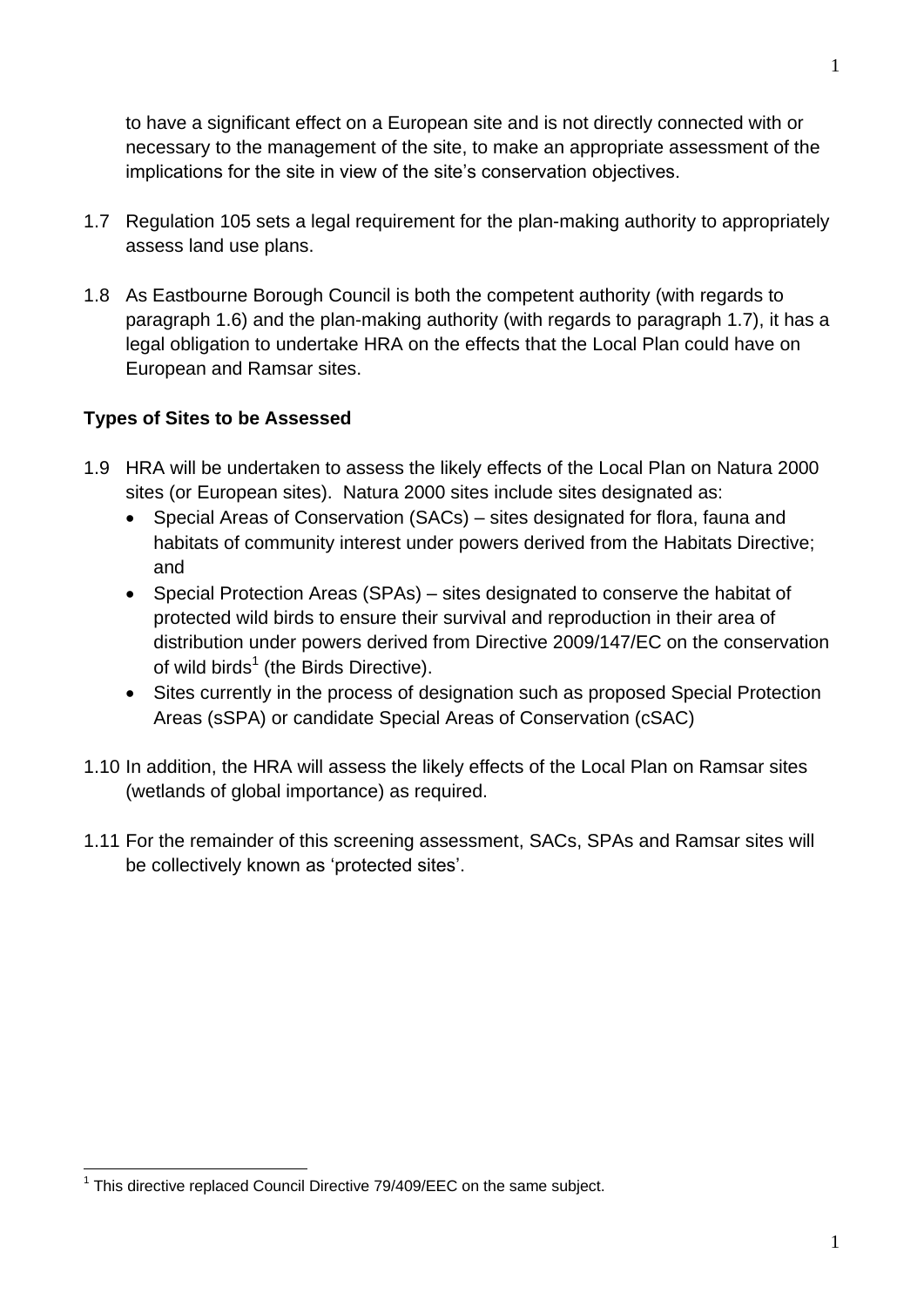to have a significant effect on a European site and is not directly connected with or necessary to the management of the site, to make an appropriate assessment of the implications for the site in view of the site's conservation objectives.

- 1.7 Regulation 105 sets a legal requirement for the plan-making authority to appropriately assess land use plans.
- 1.8 As Eastbourne Borough Council is both the competent authority (with regards to paragraph 1.6) and the plan-making authority (with regards to paragraph 1.7), it has a legal obligation to undertake HRA on the effects that the Local Plan could have on European and Ramsar sites.

## **Types of Sites to be Assessed**

- 1.9 HRA will be undertaken to assess the likely effects of the Local Plan on Natura 2000 sites (or European sites). Natura 2000 sites include sites designated as:
	- Special Areas of Conservation (SACs) sites designated for flora, fauna and habitats of community interest under powers derived from the Habitats Directive; and
	- Special Protection Areas (SPAs) sites designated to conserve the habitat of protected wild birds to ensure their survival and reproduction in their area of distribution under powers derived from Directive 2009/147/EC on the conservation of wild birds<sup>1</sup> (the Birds Directive).
	- Sites currently in the process of designation such as proposed Special Protection Areas (sSPA) or candidate Special Areas of Conservation (cSAC)
- 1.10 In addition, the HRA will assess the likely effects of the Local Plan on Ramsar sites (wetlands of global importance) as required.
- 1.11 For the remainder of this screening assessment, SACs, SPAs and Ramsar sites will be collectively known as 'protected sites'.

<sup>1</sup>

<sup>&</sup>lt;u>.</u> <sup>1</sup> This directive replaced Council Directive 79/409/EEC on the same subject.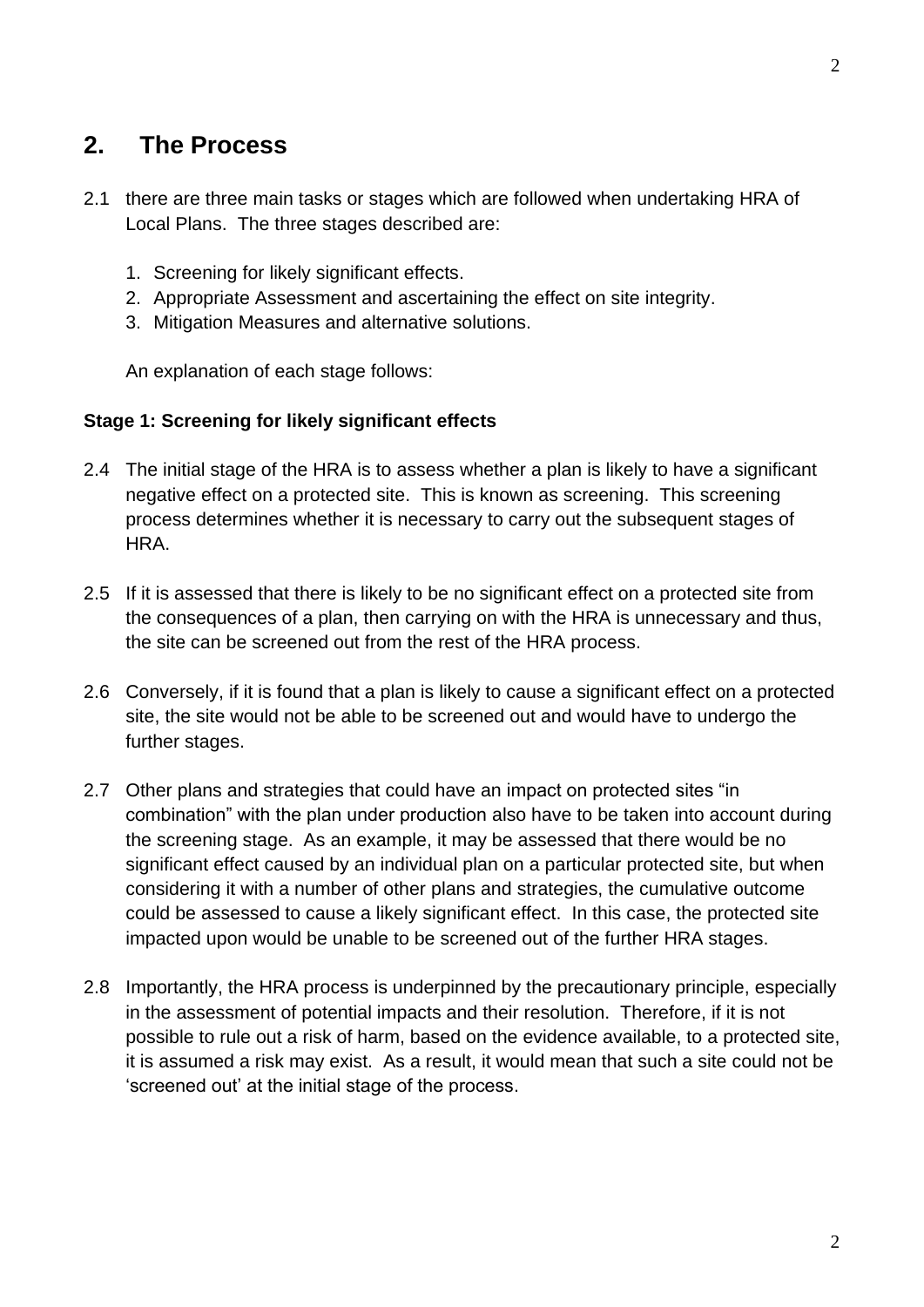## **2. The Process**

- 2.1 there are three main tasks or stages which are followed when undertaking HRA of Local Plans. The three stages described are:
	- 1. Screening for likely significant effects.
	- 2. Appropriate Assessment and ascertaining the effect on site integrity.
	- 3. Mitigation Measures and alternative solutions.

An explanation of each stage follows:

#### **Stage 1: Screening for likely significant effects**

- 2.4 The initial stage of the HRA is to assess whether a plan is likely to have a significant negative effect on a protected site. This is known as screening. This screening process determines whether it is necessary to carry out the subsequent stages of HRA.
- 2.5 If it is assessed that there is likely to be no significant effect on a protected site from the consequences of a plan, then carrying on with the HRA is unnecessary and thus, the site can be screened out from the rest of the HRA process.
- 2.6 Conversely, if it is found that a plan is likely to cause a significant effect on a protected site, the site would not be able to be screened out and would have to undergo the further stages.
- 2.7 Other plans and strategies that could have an impact on protected sites "in combination" with the plan under production also have to be taken into account during the screening stage. As an example, it may be assessed that there would be no significant effect caused by an individual plan on a particular protected site, but when considering it with a number of other plans and strategies, the cumulative outcome could be assessed to cause a likely significant effect. In this case, the protected site impacted upon would be unable to be screened out of the further HRA stages.
- 2.8 Importantly, the HRA process is underpinned by the precautionary principle, especially in the assessment of potential impacts and their resolution. Therefore, if it is not possible to rule out a risk of harm, based on the evidence available, to a protected site, it is assumed a risk may exist. As a result, it would mean that such a site could not be 'screened out' at the initial stage of the process.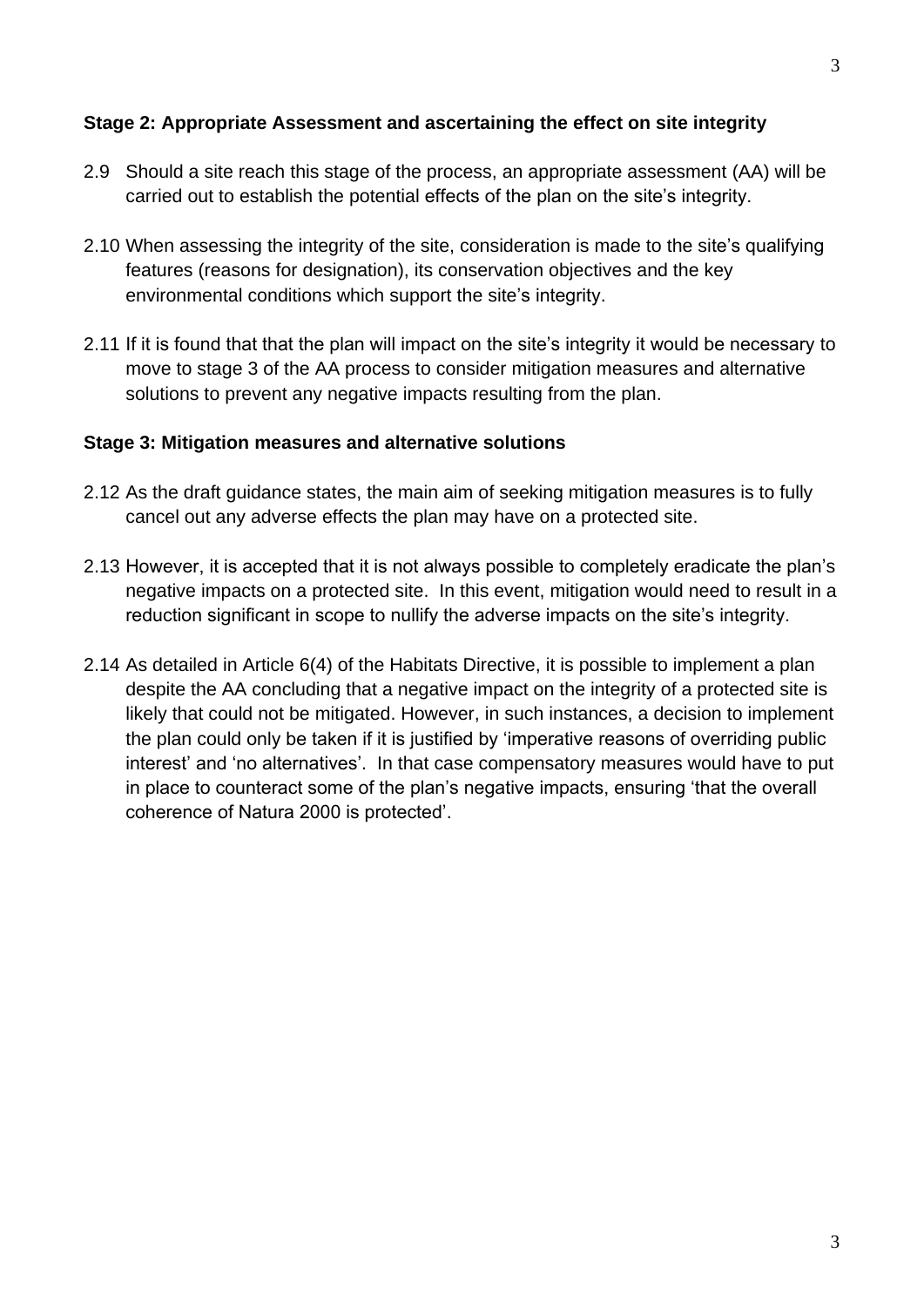## **Stage 2: Appropriate Assessment and ascertaining the effect on site integrity**

- 2.9 Should a site reach this stage of the process, an appropriate assessment (AA) will be carried out to establish the potential effects of the plan on the site's integrity.
- 2.10 When assessing the integrity of the site, consideration is made to the site's qualifying features (reasons for designation), its conservation objectives and the key environmental conditions which support the site's integrity.
- 2.11 If it is found that that the plan will impact on the site's integrity it would be necessary to move to stage 3 of the AA process to consider mitigation measures and alternative solutions to prevent any negative impacts resulting from the plan.

## **Stage 3: Mitigation measures and alternative solutions**

- 2.12 As the draft guidance states, the main aim of seeking mitigation measures is to fully cancel out any adverse effects the plan may have on a protected site.
- 2.13 However, it is accepted that it is not always possible to completely eradicate the plan's negative impacts on a protected site. In this event, mitigation would need to result in a reduction significant in scope to nullify the adverse impacts on the site's integrity.
- 2.14 As detailed in Article 6(4) of the Habitats Directive, it is possible to implement a plan despite the AA concluding that a negative impact on the integrity of a protected site is likely that could not be mitigated. However, in such instances, a decision to implement the plan could only be taken if it is justified by 'imperative reasons of overriding public interest' and 'no alternatives'. In that case compensatory measures would have to put in place to counteract some of the plan's negative impacts, ensuring 'that the overall coherence of Natura 2000 is protected'.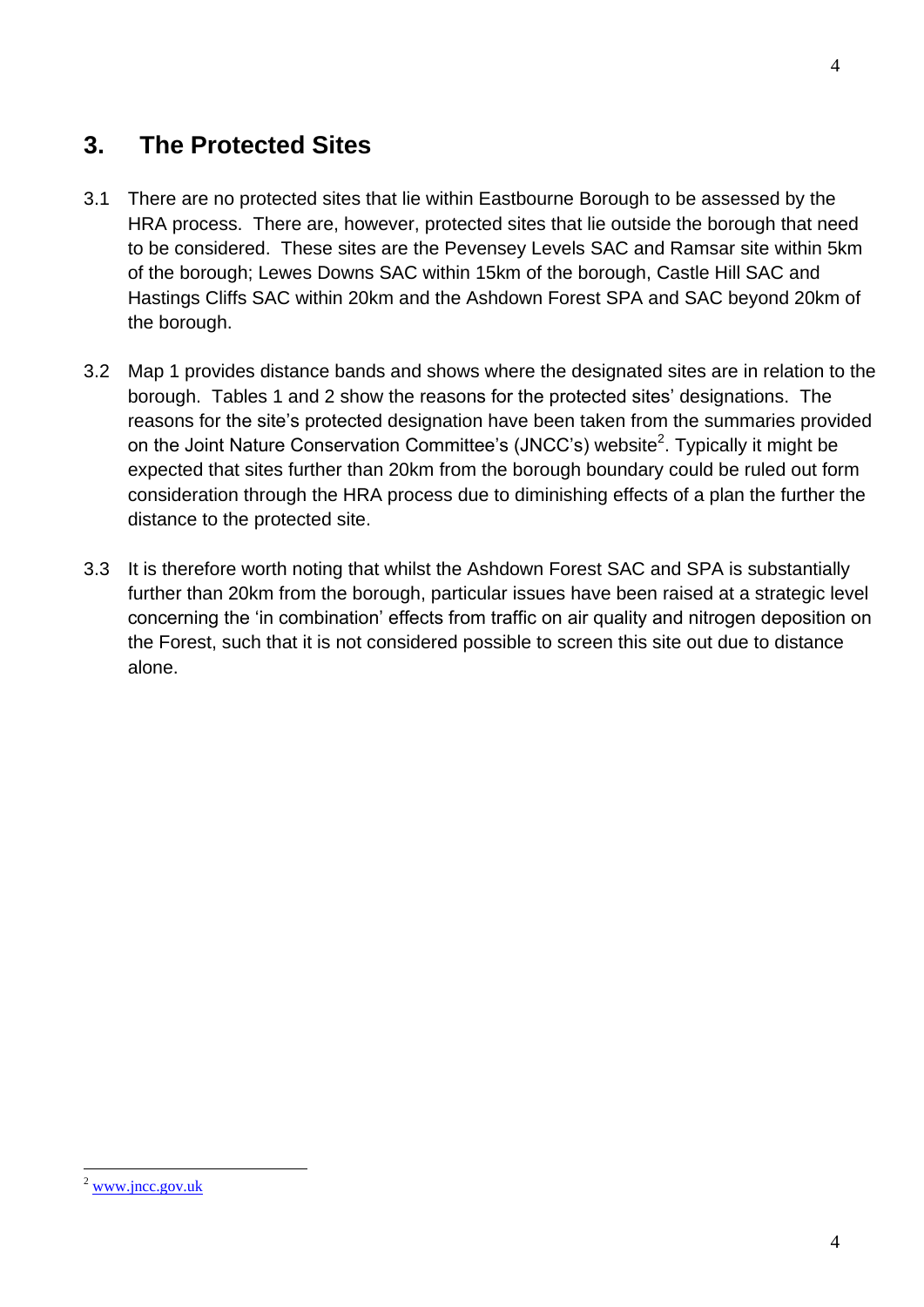## **3. The Protected Sites**

- 3.1 There are no protected sites that lie within Eastbourne Borough to be assessed by the HRA process. There are, however, protected sites that lie outside the borough that need to be considered. These sites are the Pevensey Levels SAC and Ramsar site within 5km of the borough; Lewes Downs SAC within 15km of the borough, Castle Hill SAC and Hastings Cliffs SAC within 20km and the Ashdown Forest SPA and SAC beyond 20km of the borough.
- 3.2 Map 1 provides distance bands and shows where the designated sites are in relation to the borough. Tables 1 and 2 show the reasons for the protected sites' designations. The reasons for the site's protected designation have been taken from the summaries provided on the Joint Nature Conservation Committee's (JNCC's) website<sup>2</sup>. Typically it might be expected that sites further than 20km from the borough boundary could be ruled out form consideration through the HRA process due to diminishing effects of a plan the further the distance to the protected site.
- 3.3 It is therefore worth noting that whilst the Ashdown Forest SAC and SPA is substantially further than 20km from the borough, particular issues have been raised at a strategic level concerning the 'in combination' effects from traffic on air quality and nitrogen deposition on the Forest, such that it is not considered possible to screen this site out due to distance alone.

<u>.</u>

 $2$  [www.jncc.gov.uk](http://www.jncc.gov.uk/)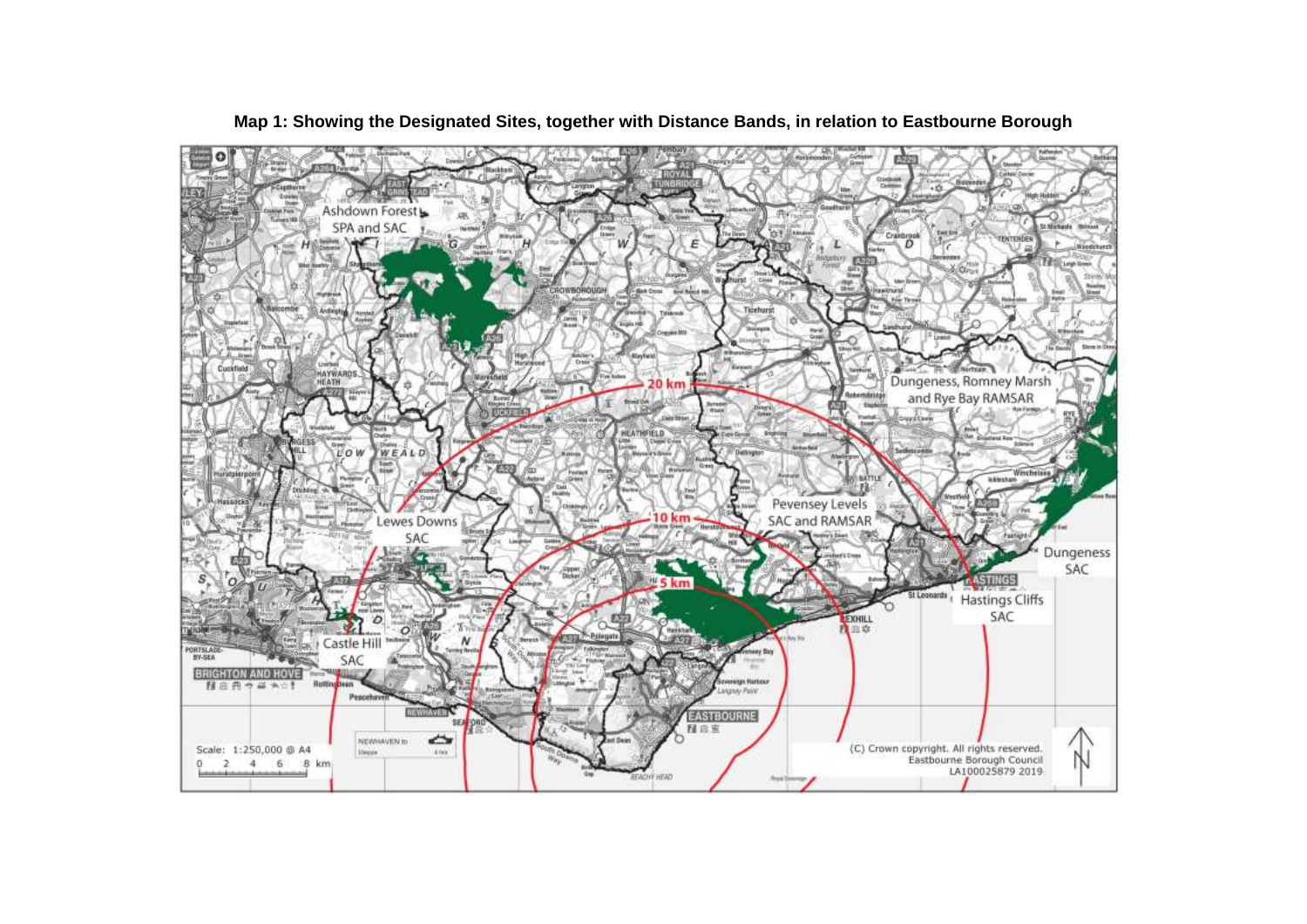

#### **Map 1: Showing the Designated Sites, together with Distance Bands, in relation to Eastbourne Borough**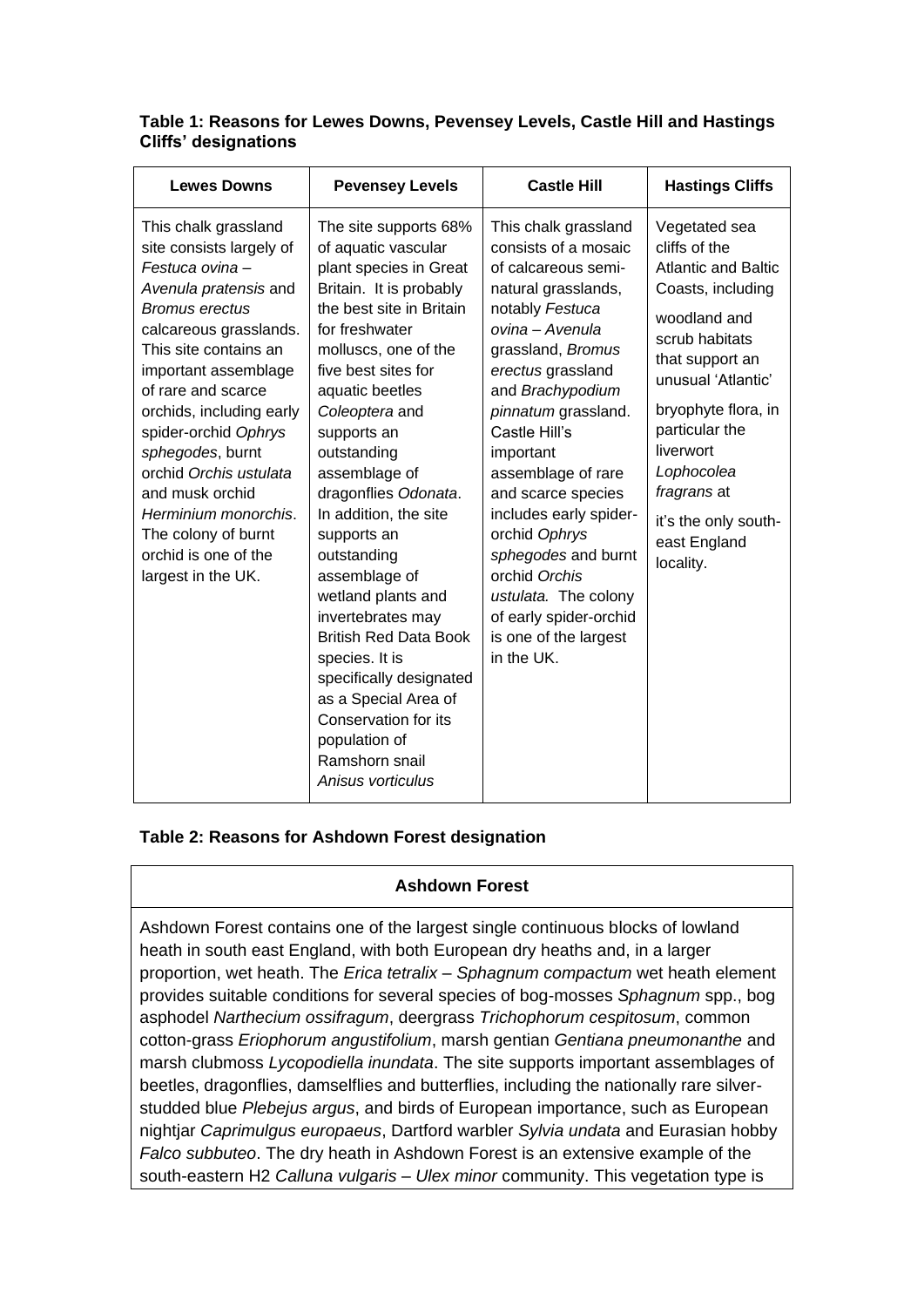| <b>Lewes Downs</b>                                                                                                                                                                                                                                                                                                                                                                                                                      | <b>Pevensey Levels</b>                                                                                                                                                                                                                                                                                                                                                                                                                                                                                                                                                                                             | <b>Castle Hill</b>                                                                                                                                                                                                                                                                                                                                                                                                                                                          | <b>Hastings Cliffs</b>                                                                                                                                                                                                                                                                               |
|-----------------------------------------------------------------------------------------------------------------------------------------------------------------------------------------------------------------------------------------------------------------------------------------------------------------------------------------------------------------------------------------------------------------------------------------|--------------------------------------------------------------------------------------------------------------------------------------------------------------------------------------------------------------------------------------------------------------------------------------------------------------------------------------------------------------------------------------------------------------------------------------------------------------------------------------------------------------------------------------------------------------------------------------------------------------------|-----------------------------------------------------------------------------------------------------------------------------------------------------------------------------------------------------------------------------------------------------------------------------------------------------------------------------------------------------------------------------------------------------------------------------------------------------------------------------|------------------------------------------------------------------------------------------------------------------------------------------------------------------------------------------------------------------------------------------------------------------------------------------------------|
| This chalk grassland<br>site consists largely of<br>Festuca ovina-<br>Avenula pratensis and<br><b>Bromus erectus</b><br>calcareous grasslands.<br>This site contains an<br>important assemblage<br>of rare and scarce<br>orchids, including early<br>spider-orchid Ophrys<br>sphegodes, burnt<br>orchid Orchis ustulata<br>and musk orchid<br>Herminium monorchis.<br>The colony of burnt<br>orchid is one of the<br>largest in the UK. | The site supports 68%<br>of aquatic vascular<br>plant species in Great<br>Britain. It is probably<br>the best site in Britain<br>for freshwater<br>molluscs, one of the<br>five best sites for<br>aquatic beetles<br>Coleoptera and<br>supports an<br>outstanding<br>assemblage of<br>dragonflies Odonata.<br>In addition, the site<br>supports an<br>outstanding<br>assemblage of<br>wetland plants and<br>invertebrates may<br><b>British Red Data Book</b><br>species. It is<br>specifically designated<br>as a Special Area of<br>Conservation for its<br>population of<br>Ramshorn snail<br>Anisus vorticulus | This chalk grassland<br>consists of a mosaic<br>of calcareous semi-<br>natural grasslands,<br>notably Festuca<br>ovina - Avenula<br>grassland, Bromus<br>erectus grassland<br>and Brachypodium<br>pinnatum grassland.<br>Castle Hill's<br>important<br>assemblage of rare<br>and scarce species<br>includes early spider-<br>orchid Ophrys<br>sphegodes and burnt<br>orchid Orchis<br>ustulata. The colony<br>of early spider-orchid<br>is one of the largest<br>in the UK. | Vegetated sea<br>cliffs of the<br><b>Atlantic and Baltic</b><br>Coasts, including<br>woodland and<br>scrub habitats<br>that support an<br>unusual 'Atlantic'<br>bryophyte flora, in<br>particular the<br>liverwort<br>Lophocolea<br>fragrans at<br>it's the only south-<br>east England<br>locality. |

### **Table 1: Reasons for Lewes Downs, Pevensey Levels, Castle Hill and Hastings Cliffs' designations**

### **Table 2: Reasons for Ashdown Forest designation**

### **Ashdown Forest**

Ashdown Forest contains one of the largest single continuous blocks of lowland heath in south east England, with both European dry heaths and, in a larger proportion, wet heath. The *Erica tetralix* – *Sphagnum compactum* wet heath element provides suitable conditions for several species of bog-mosses *Sphagnum* spp., bog asphodel *Narthecium ossifragum*, deergrass *Trichophorum cespitosum*, common cotton-grass *Eriophorum angustifolium*, marsh gentian *Gentiana pneumonanthe* and marsh clubmoss *Lycopodiella inundata*. The site supports important assemblages of beetles, dragonflies, damselflies and butterflies, including the nationally rare silverstudded blue *Plebejus argus*, and birds of European importance, such as European nightjar *Caprimulgus europaeus*, Dartford warbler *Sylvia undata* and Eurasian hobby *Falco subbuteo*. The dry heath in Ashdown Forest is an extensive example of the south-eastern H2 *Calluna vulgaris* – *Ulex minor* community. This vegetation type is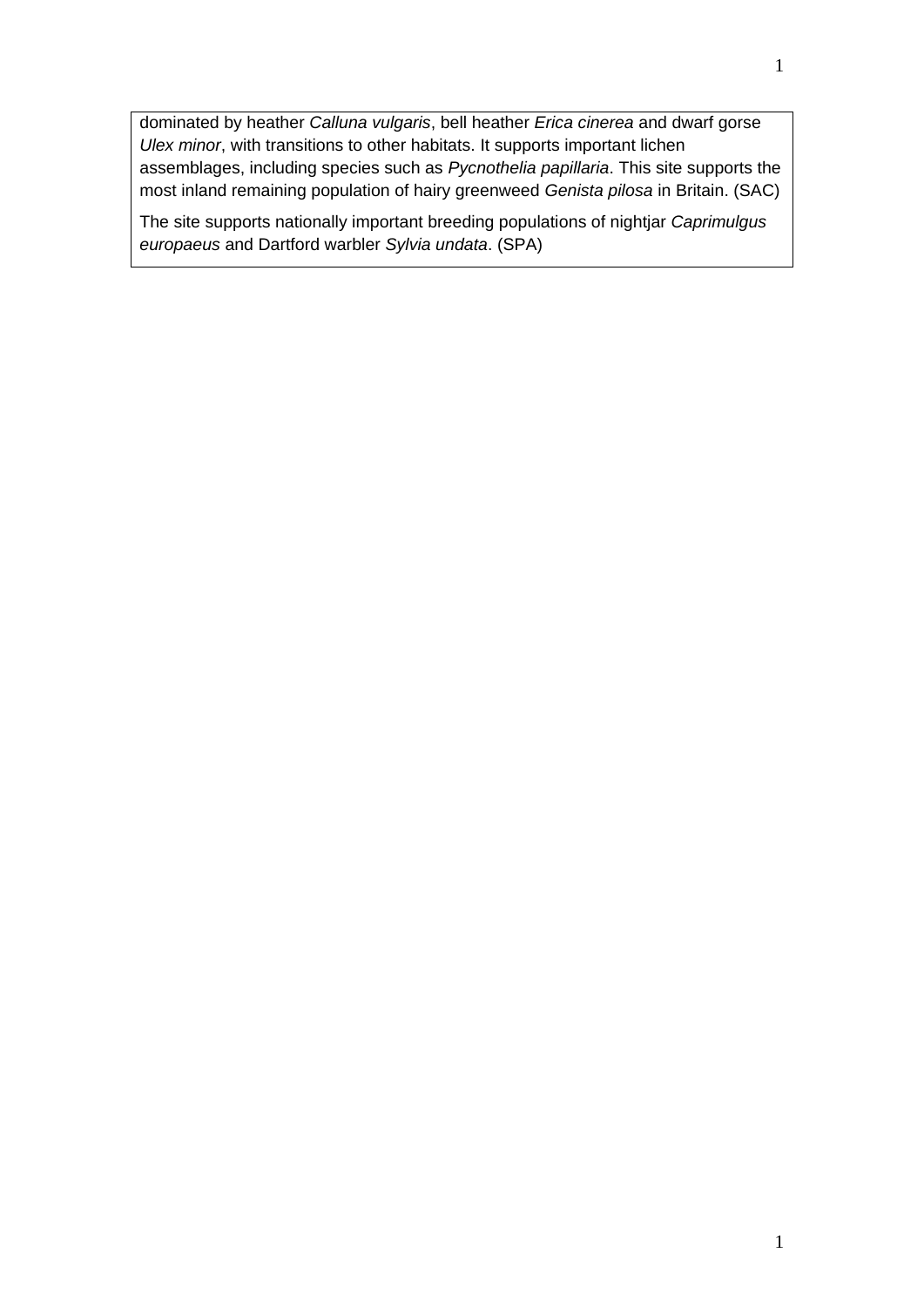dominated by heather *Calluna vulgaris*, bell heather *Erica cinerea* and dwarf gorse *Ulex minor*, with transitions to other habitats. It supports important lichen assemblages, including species such as *Pycnothelia papillaria*. This site supports the most inland remaining population of hairy greenweed *Genista pilosa* in Britain. (SAC)

The site supports nationally important breeding populations of nightjar *Caprimulgus europaeus* and Dartford warbler *Sylvia undata*. (SPA)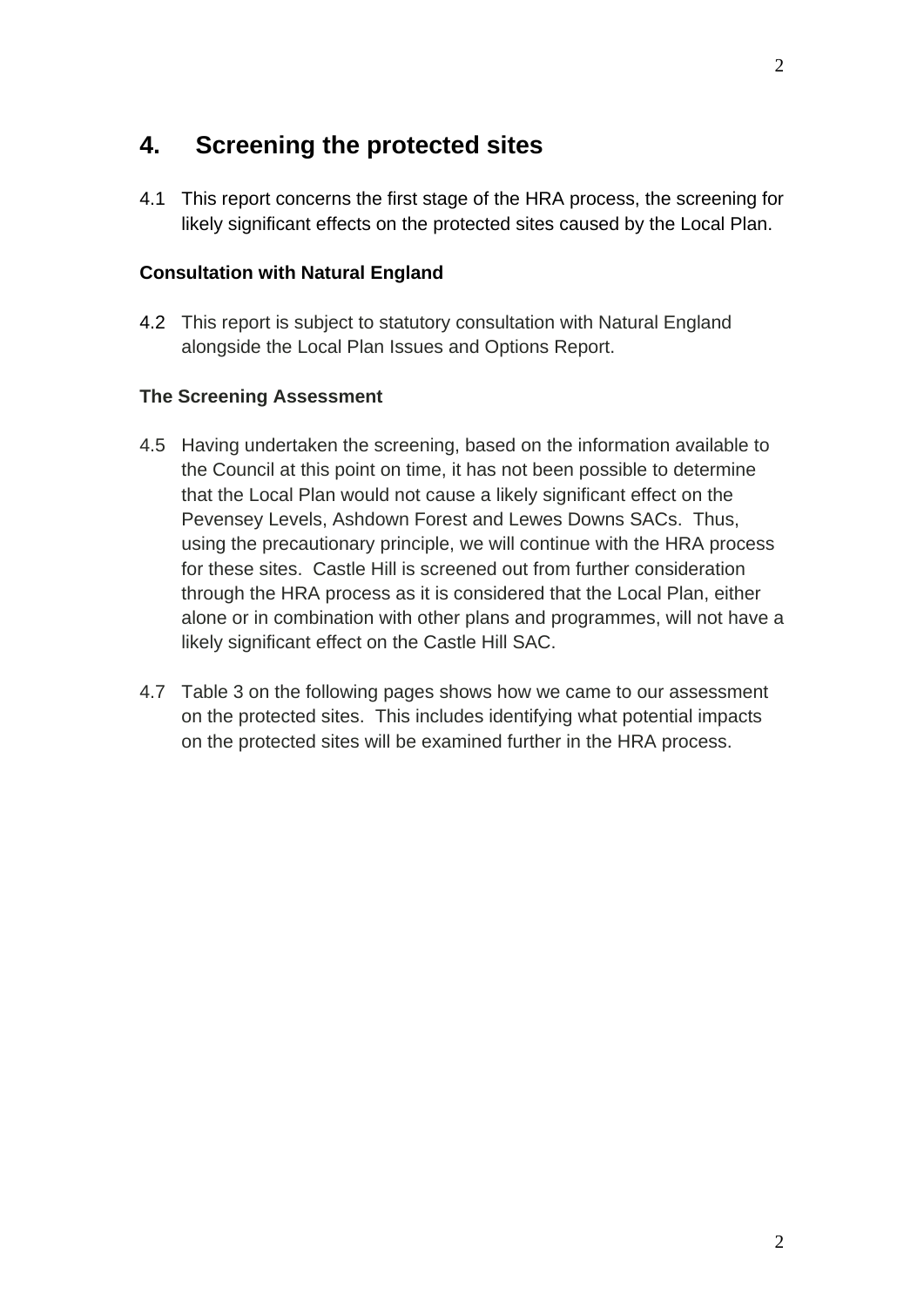## **4. Screening the protected sites**

4.1 This report concerns the first stage of the HRA process, the screening for likely significant effects on the protected sites caused by the Local Plan.

### **Consultation with Natural England**

4.2 This report is subject to statutory consultation with Natural England alongside the Local Plan Issues and Options Report.

## **The Screening Assessment**

- 4.5 Having undertaken the screening, based on the information available to the Council at this point on time, it has not been possible to determine that the Local Plan would not cause a likely significant effect on the Pevensey Levels, Ashdown Forest and Lewes Downs SACs. Thus, using the precautionary principle, we will continue with the HRA process for these sites. Castle Hill is screened out from further consideration through the HRA process as it is considered that the Local Plan, either alone or in combination with other plans and programmes, will not have a likely significant effect on the Castle Hill SAC.
- 4.7 Table 3 on the following pages shows how we came to our assessment on the protected sites. This includes identifying what potential impacts on the protected sites will be examined further in the HRA process.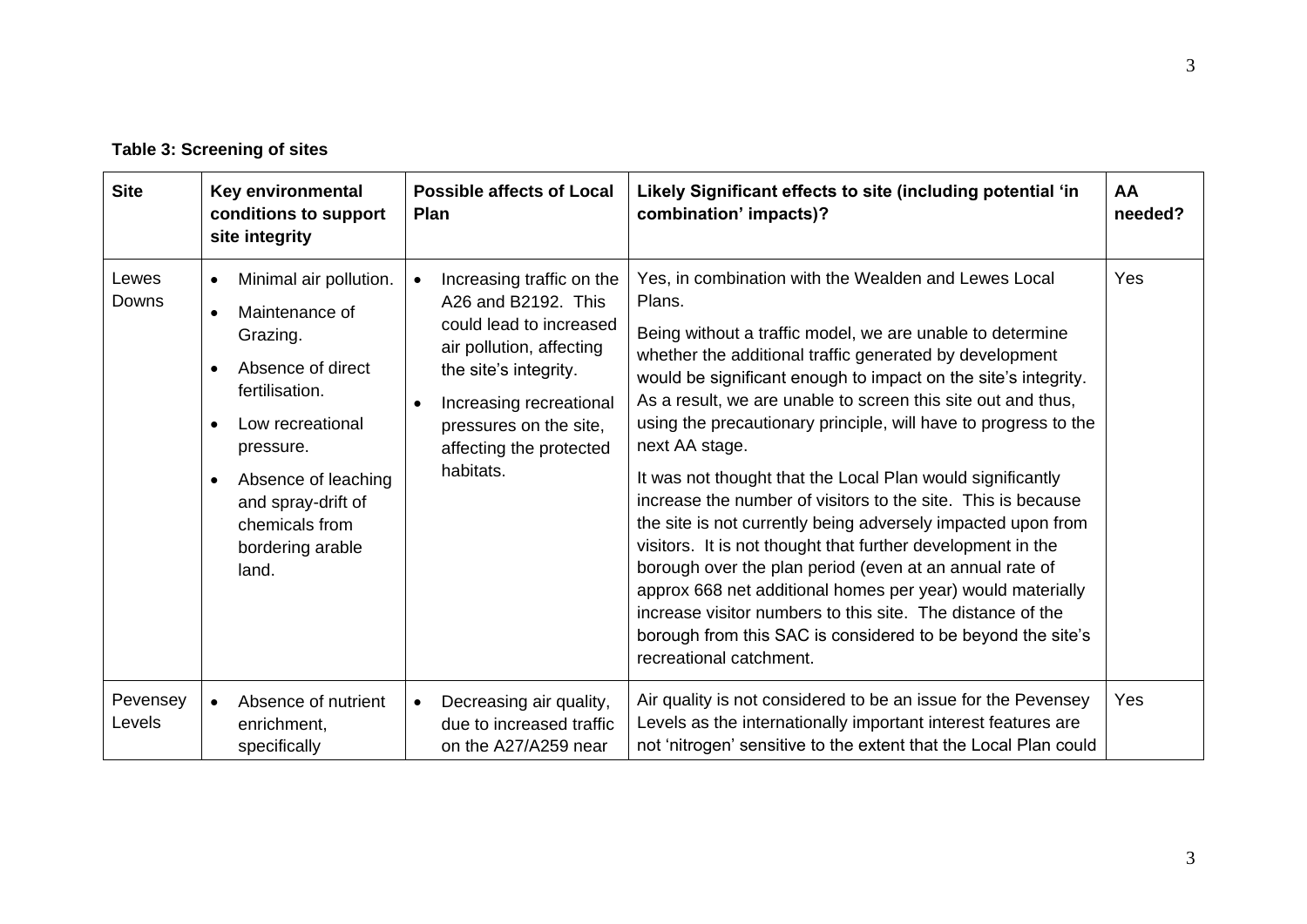**Table 3: Screening of sites**

| <b>Site</b>        | Key environmental<br>conditions to support<br>site integrity                                                                                                                                                                                                                              | <b>Possible affects of Local</b><br>Plan                                                                                                                                                                                                                | Likely Significant effects to site (including potential 'in<br>combination' impacts)?                                                                                                                                                                                                                                                                                                                                                                                                                                                                                                                                                                                                                                                                                                                                                                                                                                                                       | AA<br>needed? |
|--------------------|-------------------------------------------------------------------------------------------------------------------------------------------------------------------------------------------------------------------------------------------------------------------------------------------|---------------------------------------------------------------------------------------------------------------------------------------------------------------------------------------------------------------------------------------------------------|-------------------------------------------------------------------------------------------------------------------------------------------------------------------------------------------------------------------------------------------------------------------------------------------------------------------------------------------------------------------------------------------------------------------------------------------------------------------------------------------------------------------------------------------------------------------------------------------------------------------------------------------------------------------------------------------------------------------------------------------------------------------------------------------------------------------------------------------------------------------------------------------------------------------------------------------------------------|---------------|
| Lewes<br>Downs     | Minimal air pollution.<br>$\bullet$<br>Maintenance of<br>$\bullet$<br>Grazing.<br>Absence of direct<br>$\bullet$<br>fertilisation.<br>Low recreational<br>$\bullet$<br>pressure.<br>Absence of leaching<br>$\bullet$<br>and spray-drift of<br>chemicals from<br>bordering arable<br>land. | Increasing traffic on the<br>$\bullet$<br>A26 and B2192. This<br>could lead to increased<br>air pollution, affecting<br>the site's integrity.<br>Increasing recreational<br>$\bullet$<br>pressures on the site,<br>affecting the protected<br>habitats. | Yes, in combination with the Wealden and Lewes Local<br>Plans.<br>Being without a traffic model, we are unable to determine<br>whether the additional traffic generated by development<br>would be significant enough to impact on the site's integrity.<br>As a result, we are unable to screen this site out and thus,<br>using the precautionary principle, will have to progress to the<br>next AA stage.<br>It was not thought that the Local Plan would significantly<br>increase the number of visitors to the site. This is because<br>the site is not currently being adversely impacted upon from<br>visitors. It is not thought that further development in the<br>borough over the plan period (even at an annual rate of<br>approx 668 net additional homes per year) would materially<br>increase visitor numbers to this site. The distance of the<br>borough from this SAC is considered to be beyond the site's<br>recreational catchment. | Yes           |
| Pevensey<br>Levels | Absence of nutrient<br>enrichment,<br>specifically                                                                                                                                                                                                                                        | Decreasing air quality,<br>$\bullet$<br>due to increased traffic<br>on the A27/A259 near                                                                                                                                                                | Air quality is not considered to be an issue for the Pevensey<br>Levels as the internationally important interest features are<br>not 'nitrogen' sensitive to the extent that the Local Plan could                                                                                                                                                                                                                                                                                                                                                                                                                                                                                                                                                                                                                                                                                                                                                          | Yes           |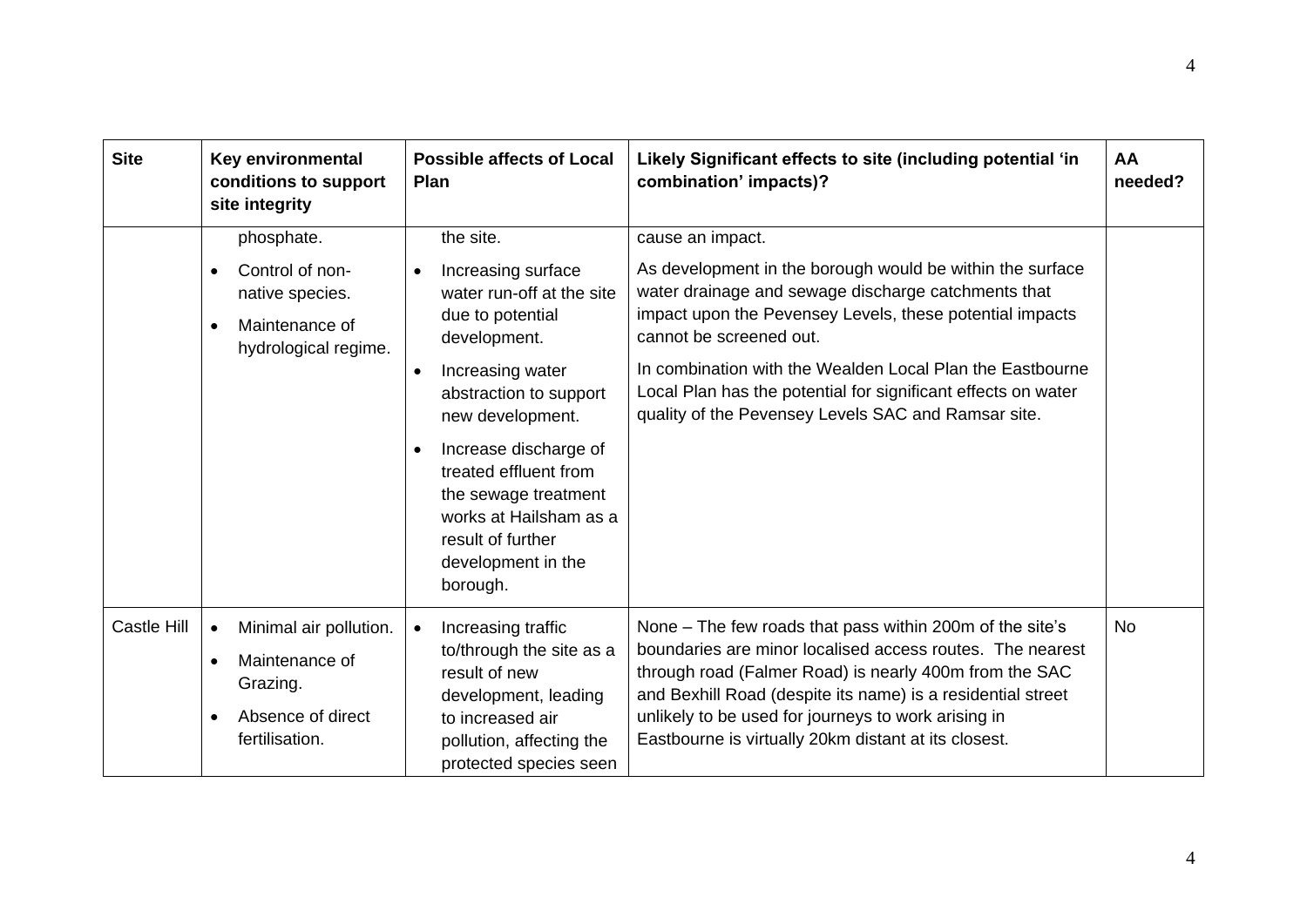| <b>Site</b>        | Key environmental<br>conditions to support<br>site integrity                                                          | <b>Possible affects of Local</b><br><b>Plan</b>                                                                                                                                                                                                                                                                                                                      | Likely Significant effects to site (including potential 'in<br>combination' impacts)?                                                                                                                                                                                                                                                                                                                            | AA<br>needed? |
|--------------------|-----------------------------------------------------------------------------------------------------------------------|----------------------------------------------------------------------------------------------------------------------------------------------------------------------------------------------------------------------------------------------------------------------------------------------------------------------------------------------------------------------|------------------------------------------------------------------------------------------------------------------------------------------------------------------------------------------------------------------------------------------------------------------------------------------------------------------------------------------------------------------------------------------------------------------|---------------|
|                    | phosphate.<br>Control of non-<br>$\bullet$<br>native species.<br>Maintenance of<br>$\bullet$<br>hydrological regime.  | the site.<br>Increasing surface<br>$\bullet$<br>water run-off at the site<br>due to potential<br>development.<br>Increasing water<br>$\bullet$<br>abstraction to support<br>new development.<br>Increase discharge of<br>$\bullet$<br>treated effluent from<br>the sewage treatment<br>works at Hailsham as a<br>result of further<br>development in the<br>borough. | cause an impact.<br>As development in the borough would be within the surface<br>water drainage and sewage discharge catchments that<br>impact upon the Pevensey Levels, these potential impacts<br>cannot be screened out.<br>In combination with the Wealden Local Plan the Eastbourne<br>Local Plan has the potential for significant effects on water<br>quality of the Pevensey Levels SAC and Ramsar site. |               |
| <b>Castle Hill</b> | Minimal air pollution.<br>Maintenance of<br>$\bullet$<br>Grazing.<br>Absence of direct<br>$\bullet$<br>fertilisation. | Increasing traffic<br>to/through the site as a<br>result of new<br>development, leading<br>to increased air<br>pollution, affecting the<br>protected species seen                                                                                                                                                                                                    | None – The few roads that pass within 200m of the site's<br>boundaries are minor localised access routes. The nearest<br>through road (Falmer Road) is nearly 400m from the SAC<br>and Bexhill Road (despite its name) is a residential street<br>unlikely to be used for journeys to work arising in<br>Eastbourne is virtually 20km distant at its closest.                                                    | <b>No</b>     |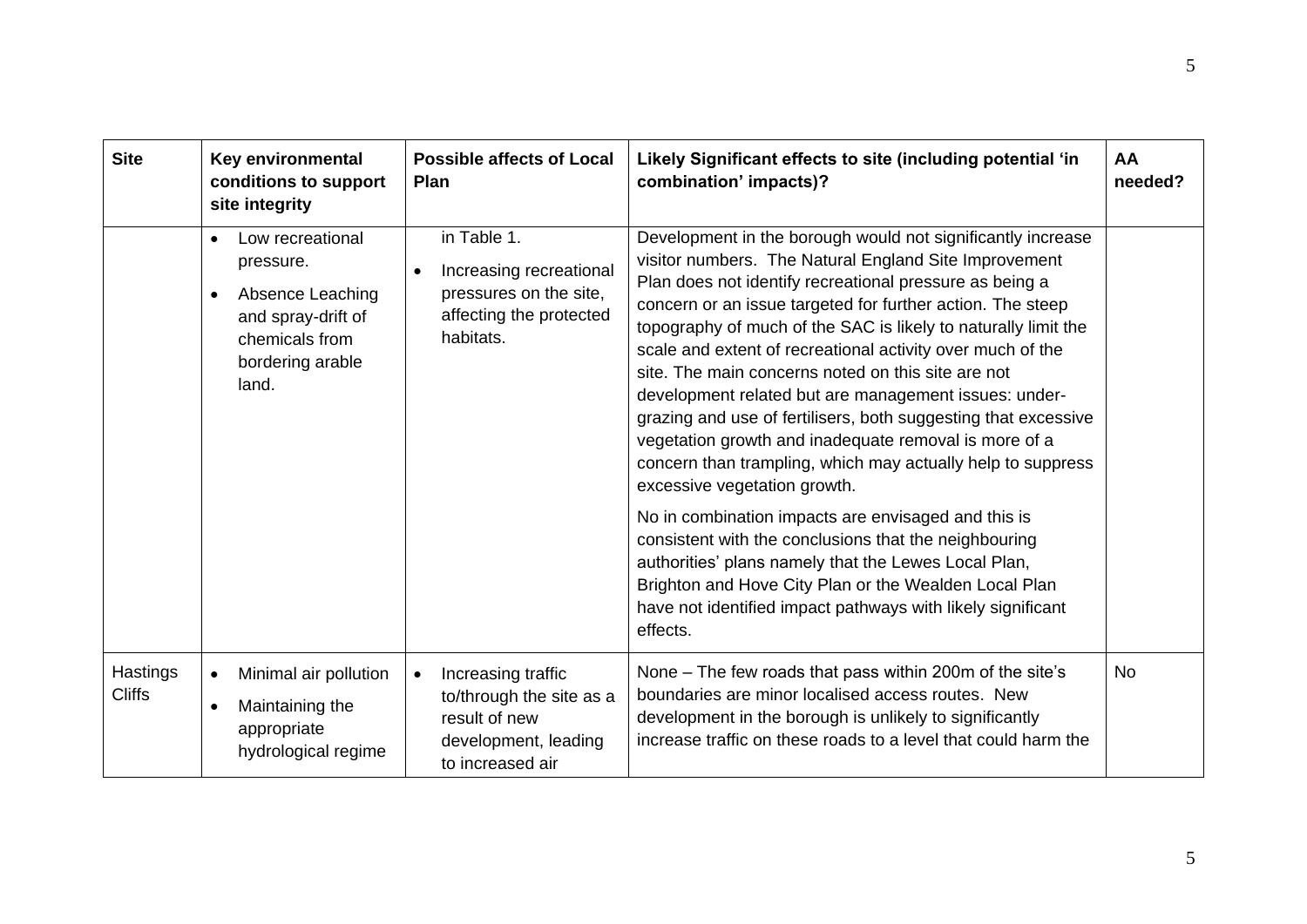| <b>Site</b>               | <b>Key environmental</b><br>conditions to support<br>site integrity                                                                              | <b>Possible affects of Local</b><br><b>Plan</b>                                                                          | Likely Significant effects to site (including potential 'in<br>combination' impacts)?                                                                                                                                                                                                                                                                                                                                                                                                                                                                                                                                                                                                                                                                                                                                                                                                                                                                                                                                              | AA<br>needed? |
|---------------------------|--------------------------------------------------------------------------------------------------------------------------------------------------|--------------------------------------------------------------------------------------------------------------------------|------------------------------------------------------------------------------------------------------------------------------------------------------------------------------------------------------------------------------------------------------------------------------------------------------------------------------------------------------------------------------------------------------------------------------------------------------------------------------------------------------------------------------------------------------------------------------------------------------------------------------------------------------------------------------------------------------------------------------------------------------------------------------------------------------------------------------------------------------------------------------------------------------------------------------------------------------------------------------------------------------------------------------------|---------------|
|                           | Low recreational<br>$\bullet$<br>pressure.<br>Absence Leaching<br>$\bullet$<br>and spray-drift of<br>chemicals from<br>bordering arable<br>land. | in Table 1.<br>Increasing recreational<br>$\bullet$<br>pressures on the site,<br>affecting the protected<br>habitats.    | Development in the borough would not significantly increase<br>visitor numbers. The Natural England Site Improvement<br>Plan does not identify recreational pressure as being a<br>concern or an issue targeted for further action. The steep<br>topography of much of the SAC is likely to naturally limit the<br>scale and extent of recreational activity over much of the<br>site. The main concerns noted on this site are not<br>development related but are management issues: under-<br>grazing and use of fertilisers, both suggesting that excessive<br>vegetation growth and inadequate removal is more of a<br>concern than trampling, which may actually help to suppress<br>excessive vegetation growth.<br>No in combination impacts are envisaged and this is<br>consistent with the conclusions that the neighbouring<br>authorities' plans namely that the Lewes Local Plan,<br>Brighton and Hove City Plan or the Wealden Local Plan<br>have not identified impact pathways with likely significant<br>effects. |               |
| Hastings<br><b>Cliffs</b> | Minimal air pollution<br>$\bullet$<br>Maintaining the<br>$\bullet$<br>appropriate<br>hydrological regime                                         | Increasing traffic<br>$\bullet$<br>to/through the site as a<br>result of new<br>development, leading<br>to increased air | None - The few roads that pass within 200m of the site's<br>boundaries are minor localised access routes. New<br>development in the borough is unlikely to significantly<br>increase traffic on these roads to a level that could harm the                                                                                                                                                                                                                                                                                                                                                                                                                                                                                                                                                                                                                                                                                                                                                                                         | <b>No</b>     |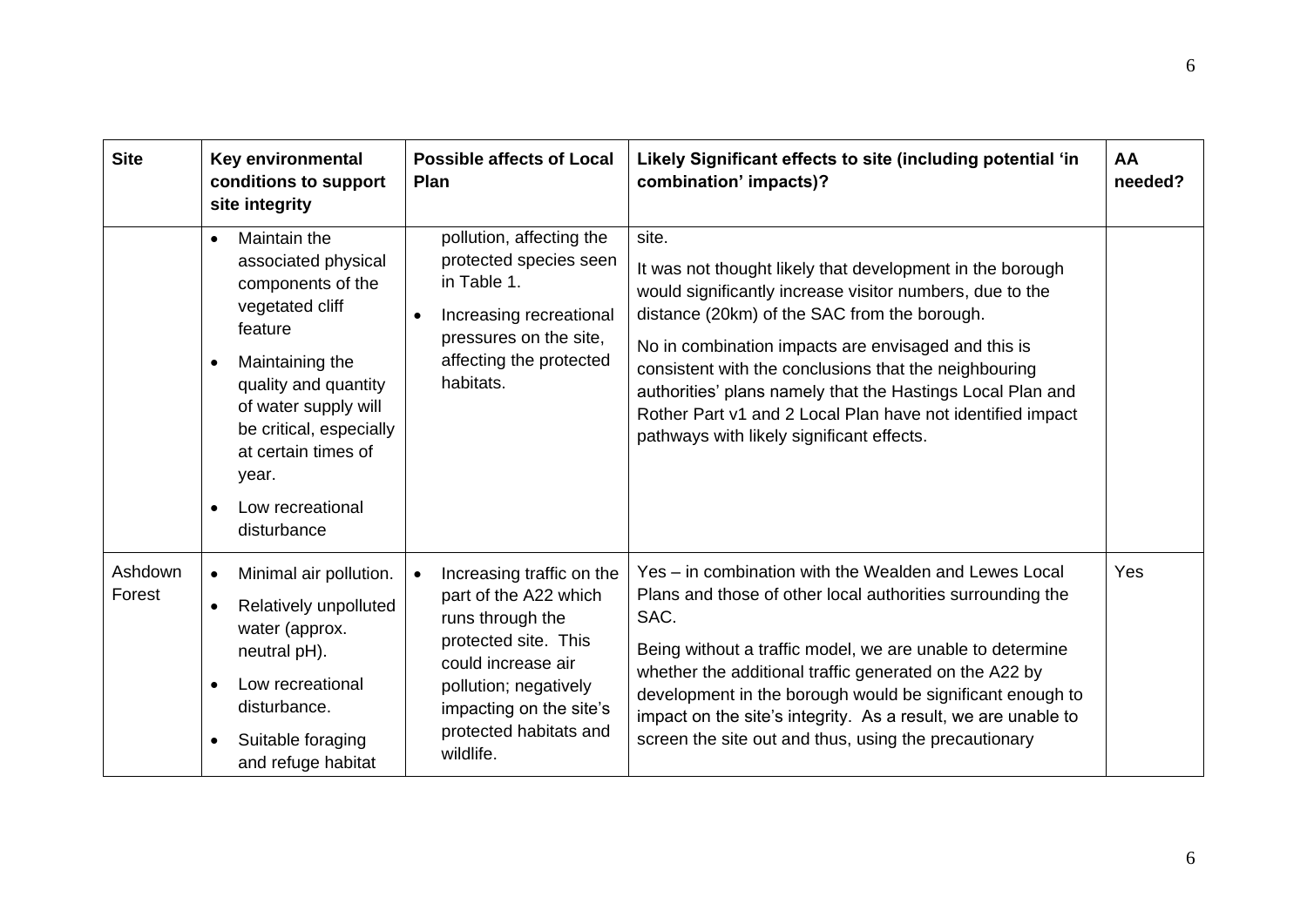| <b>Site</b>       | Key environmental<br>conditions to support<br>site integrity                                                                                                                                                                                                         | <b>Possible affects of Local</b><br><b>Plan</b>                                                                                                                                                                 | Likely Significant effects to site (including potential 'in<br>combination' impacts)?                                                                                                                                                                                                                                                                                                                                                                                   | AA<br>needed? |
|-------------------|----------------------------------------------------------------------------------------------------------------------------------------------------------------------------------------------------------------------------------------------------------------------|-----------------------------------------------------------------------------------------------------------------------------------------------------------------------------------------------------------------|-------------------------------------------------------------------------------------------------------------------------------------------------------------------------------------------------------------------------------------------------------------------------------------------------------------------------------------------------------------------------------------------------------------------------------------------------------------------------|---------------|
|                   | Maintain the<br>$\bullet$<br>associated physical<br>components of the<br>vegetated cliff<br>feature<br>Maintaining the<br>quality and quantity<br>of water supply will<br>be critical, especially<br>at certain times of<br>year.<br>Low recreational<br>disturbance | pollution, affecting the<br>protected species seen<br>in Table 1.<br>Increasing recreational<br>$\bullet$<br>pressures on the site,<br>affecting the protected<br>habitats.                                     | site.<br>It was not thought likely that development in the borough<br>would significantly increase visitor numbers, due to the<br>distance (20km) of the SAC from the borough.<br>No in combination impacts are envisaged and this is<br>consistent with the conclusions that the neighbouring<br>authorities' plans namely that the Hastings Local Plan and<br>Rother Part v1 and 2 Local Plan have not identified impact<br>pathways with likely significant effects. |               |
| Ashdown<br>Forest | Minimal air pollution.<br>Relatively unpolluted<br>$\bullet$<br>water (approx.<br>neutral pH).<br>Low recreational<br>$\bullet$<br>disturbance.<br>Suitable foraging<br>$\bullet$<br>and refuge habitat                                                              | Increasing traffic on the<br>part of the A22 which<br>runs through the<br>protected site. This<br>could increase air<br>pollution; negatively<br>impacting on the site's<br>protected habitats and<br>wildlife. | Yes – in combination with the Wealden and Lewes Local<br>Plans and those of other local authorities surrounding the<br>SAC.<br>Being without a traffic model, we are unable to determine<br>whether the additional traffic generated on the A22 by<br>development in the borough would be significant enough to<br>impact on the site's integrity. As a result, we are unable to<br>screen the site out and thus, using the precautionary                               | Yes           |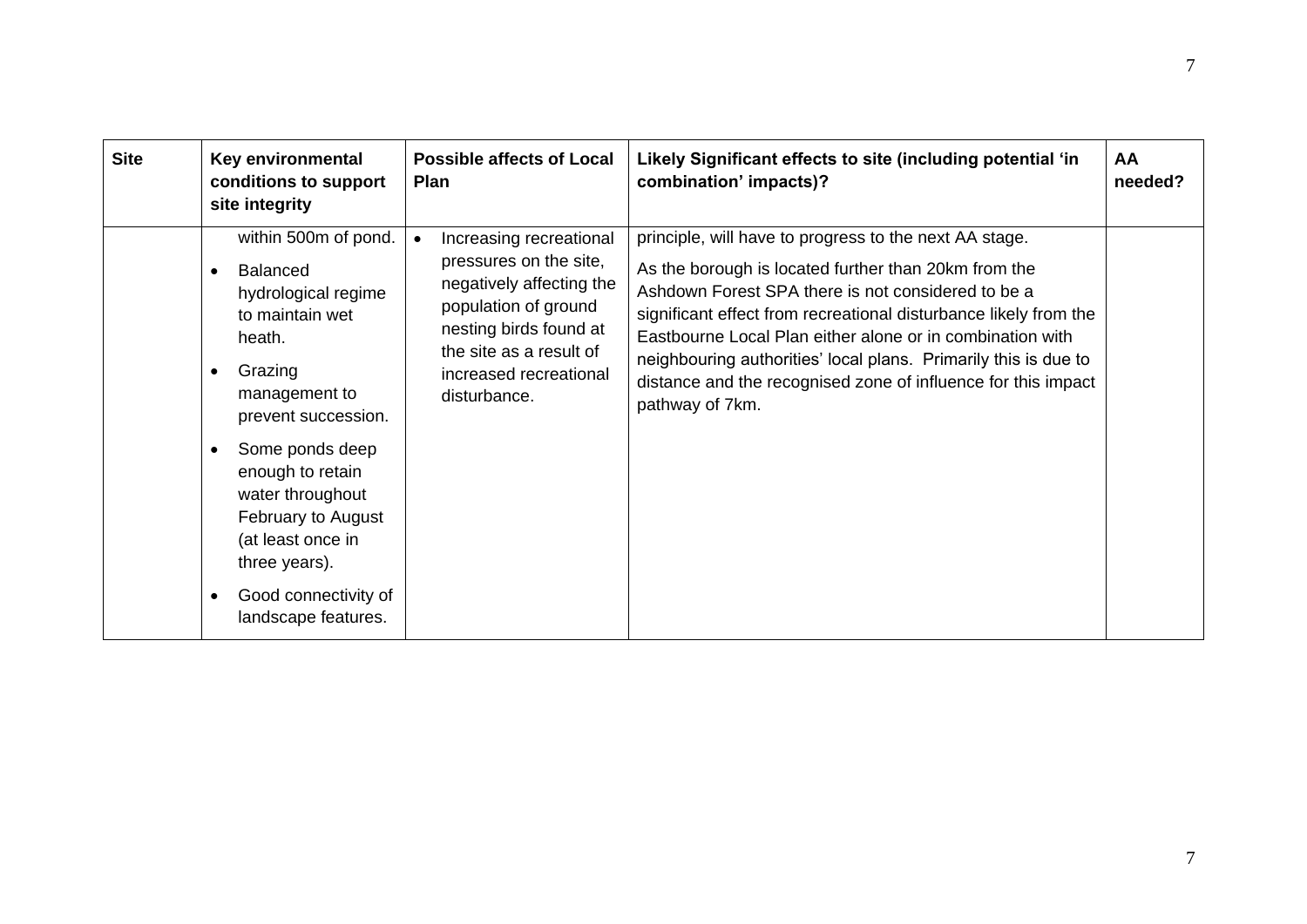| <b>Site</b> | Key environmental<br>conditions to support<br>site integrity                                                                                                                                                                                                                                                                           | <b>Possible affects of Local</b><br>Plan                                                                                                                                                             | Likely Significant effects to site (including potential 'in<br>combination' impacts)?                                                                                                                                                                                                                                                                                                                                                                        | AA<br>needed? |
|-------------|----------------------------------------------------------------------------------------------------------------------------------------------------------------------------------------------------------------------------------------------------------------------------------------------------------------------------------------|------------------------------------------------------------------------------------------------------------------------------------------------------------------------------------------------------|--------------------------------------------------------------------------------------------------------------------------------------------------------------------------------------------------------------------------------------------------------------------------------------------------------------------------------------------------------------------------------------------------------------------------------------------------------------|---------------|
|             | within 500m of pond.<br><b>Balanced</b><br>hydrological regime<br>to maintain wet<br>heath.<br>Grazing<br>٠<br>management to<br>prevent succession.<br>Some ponds deep<br>$\bullet$<br>enough to retain<br>water throughout<br>February to August<br>(at least once in<br>three years).<br>Good connectivity of<br>landscape features. | Increasing recreational<br>pressures on the site,<br>negatively affecting the<br>population of ground<br>nesting birds found at<br>the site as a result of<br>increased recreational<br>disturbance. | principle, will have to progress to the next AA stage.<br>As the borough is located further than 20km from the<br>Ashdown Forest SPA there is not considered to be a<br>significant effect from recreational disturbance likely from the<br>Eastbourne Local Plan either alone or in combination with<br>neighbouring authorities' local plans. Primarily this is due to<br>distance and the recognised zone of influence for this impact<br>pathway of 7km. |               |